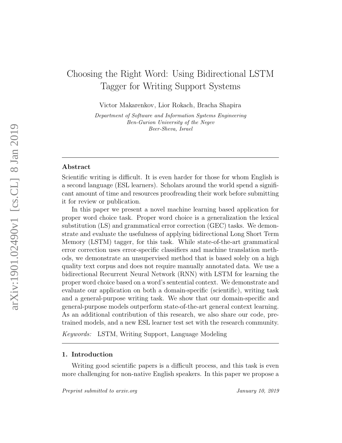# Choosing the Right Word: Using Bidirectional LSTM Tagger for Writing Support Systems

Victor Makarenkov, Lior Rokach, Bracha Shapira

Department of Software and Information Systems Engineering Ben-Gurion University of the Negev Beer-Sheva, Israel

### Abstract

Scientific writing is difficult. It is even harder for those for whom English is a second language (ESL learners). Scholars around the world spend a significant amount of time and resources proofreading their work before submitting it for review or publication.

In this paper we present a novel machine learning based application for proper word choice task. Proper word choice is a generalization the lexical substitution (LS) and grammatical error correction (GEC) tasks. We demonstrate and evaluate the usefulness of applying bidirectional Long Short Term Memory (LSTM) tagger, for this task. While state-of-the-art grammatical error correction uses error-specific classifiers and machine translation methods, we demonstrate an unsupervised method that is based solely on a high quality text corpus and does not require manually annotated data. We use a bidirectional Recurrent Neural Network (RNN) with LSTM for learning the proper word choice based on a word's sentential context. We demonstrate and evaluate our application on both a domain-specific (scientific), writing task and a general-purpose writing task. We show that our domain-specific and general-purpose models outperform state-of-the-art general context learning. As an additional contribution of this research, we also share our code, pretrained models, and a new ESL learner test set with the research community.

Keywords: LSTM, Writing Support, Language Modeling

## 1. Introduction

Writing good scientific papers is a difficult process, and this task is even more challenging for non-native English speakers. In this paper we propose a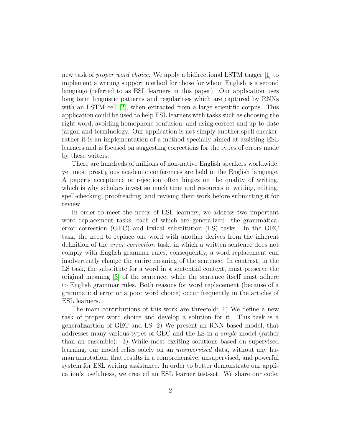new task of proper word choice. We apply a bidirectional LSTM tagger [\[1\]](#page-21-0) to implement a writing support method for those for whom English is a second language (referred to as ESL learners in this paper). Our application uses long term linguistic patterns and regularities which are captured by RNNs with an LSTM cell [\[2\]](#page-21-1), when extracted from a large scientific corpus. This application could be used to help ESL learners with tasks such as choosing the right word, avoiding homophone confusion, and using correct and up-to-date jargon and terminology. Our application is not simply another spell-checker; rather it is an implementation of a method specially aimed at assisting ESL learners and is focused on suggesting corrections for the types of errors made by these writers.

There are hundreds of millions of non-native English speakers worldwide, yet most prestigious academic conferences are held in the English language. A paper's acceptance or rejection often hinges on the quality of writing, which is why scholars invest so much time and resources in writing, editing, spell-checking, proofreading, and revising their work before submitting it for review.

In order to meet the needs of ESL learners, we address two important word replacement tasks, each of which are generalized: the grammatical error correction (GEC) and lexical substitution (LS) tasks. In the GEC task, the need to replace one word with another derives from the inherent definition of the error correction task, in which a written sentence does not comply with English grammar rules; consequently, a word replacement can inadvertently change the entire meaning of the sentence. In contrast, in the LS task, the substitute for a word in a sentential context, must preserve the original meaning [\[3\]](#page-21-2) of the sentence, while the sentence itself must adhere to English grammar rules. Both reasons for word replacement (because of a grammatical error or a poor word choice) occur frequently in the articles of ESL learners.

The main contributions of this work are threefold: 1) We define a new task of proper word choice and develop a solution for it. This task is a generalizartion of GEC and LS. 2) We present an RNN based model, that addresses many various types of GEC and the LS in a single model (rather than an ensemble). 3) While most exsiting solutions based on supervised learning, our model relies solely on an unsupervised data, without any human annotation, that results in a comprehensive, unsupervised, and powerful system for ESL writing assistance. In order to better demonstrate our application's usefulness, we created an ESL learner test-set. We share our code,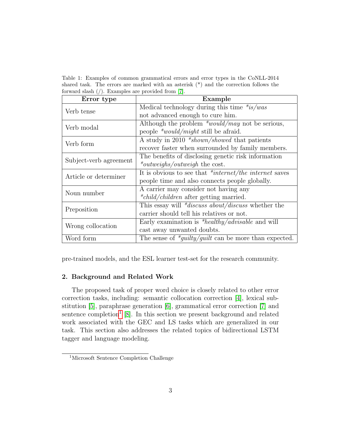<span id="page-2-1"></span>Table 1: Examples of common grammatical errors and error types in the CoNLL-2014 shared task. The errors are marked with an asterisk  $(*)$  and the correction follows the forward slash (/). Examples are provided from [\[7\]](#page-22-0).

| Error type             | Example                                                    |  |
|------------------------|------------------------------------------------------------|--|
| Verb tense             | Medical technology during this time $*is/was$              |  |
|                        | not advanced enough to cure him.                           |  |
| Verb modal             | Although the problem $*$ <i>would/may</i> not be serious,  |  |
|                        | people $*$ <i>would/might</i> still be afraid.             |  |
| Verb form              | A study in 2010 <i>*shown/showed</i> that patients         |  |
|                        | recover faster when surrounded by family members.          |  |
| Subject-verb agreement | The benefits of disclosing genetic risk information        |  |
|                        | * <i>outweighs/outweigh</i> the cost.                      |  |
| Article or determiner  | It is obvious to see that $*internet/the$ internet saves   |  |
|                        | people time and also connects people globally.             |  |
| Noun number            | A carrier may consider not having any                      |  |
|                        | <i>*child/children</i> after getting married.              |  |
| Preposition            | This essay will * <i>discuss about/discuss</i> whether the |  |
|                        | carrier should tell his relatives or not.                  |  |
| Wrong collocation      | Early examination is *healthy/advisable and will           |  |
|                        | cast away unwanted doubts.                                 |  |
| Word form              | The sense of $*guity/guilt$ can be more than expected.     |  |

pre-trained models, and the ESL learner test-set for the research community.

# 2. Background and Related Work

The proposed task of proper word choice is closely related to other error correction tasks, including: semantic collocation correction [\[4\]](#page-21-3), lexical substitution [\[5\]](#page-21-4), paraphrase generation [\[6\]](#page-21-5), grammatical error correction [\[7\]](#page-22-0) and sentence completion<sup>[1](#page-2-0)</sup> [\[8\]](#page-22-1). In this section we present background and related work associated with the GEC and LS tasks which are generalized in our task. This section also addresses the related topics of bidirectional LSTM tagger and language modeling.

<span id="page-2-0"></span><sup>1</sup>Microsoft Sentence Completion Challenge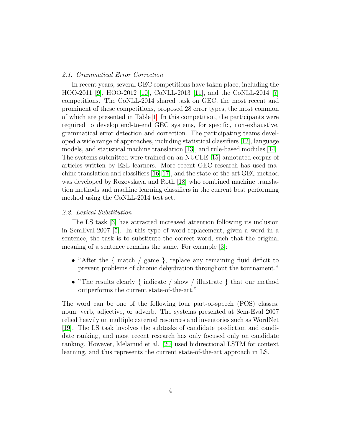## 2.1. Grammatical Error Correction

In recent years, several GEC competitions have taken place, including the HOO-2011 [\[9\]](#page-22-2), HOO-2012 [\[10\]](#page-22-3), CoNLL-2013 [\[11\]](#page-22-4), and the CoNLL-2014 [\[7\]](#page-22-0) competitions. The CoNLL-2014 shared task on GEC, the most recent and prominent of these competitions, proposed 28 error types, the most common of which are presented in Table [1.](#page-2-1) In this competition, the participants were required to develop end-to-end GEC systems, for specific, non-exhaustive, grammatical error detection and correction. The participating teams developed a wide range of approaches, including statistical classifiers [\[12\]](#page-22-5), language models, and statistical machine translation [\[13\]](#page-22-6), and rule-based modules [\[14\]](#page-22-7). The systems submitted were trained on an NUCLE [\[15\]](#page-22-8) annotated corpus of articles written by ESL learners. More recent GEC research has used machine translation and classifiers [\[16,](#page-23-0) [17\]](#page-23-1), and the state-of-the-art GEC method was developed by Rozovskaya and Roth [\[18\]](#page-23-2) who combined machine translation methods and machine learning classifiers in the current best performing method using the CoNLL-2014 test set.

## 2.2. Lexical Substitution

The LS task [\[3\]](#page-21-2) has attracted increased attention following its inclusion in SemEval-2007 [\[5\]](#page-21-4). In this type of word replacement, given a word in a sentence, the task is to substitute the correct word, such that the original meaning of a sentence remains the same. For example [\[3\]](#page-21-2):

- "After the { match / game }, replace any remaining fluid deficit to prevent problems of chronic dehydration throughout the tournament."
- "The results clearly { indicate / show / illustrate } that our method outperforms the current state-of-the-art."

The word can be one of the following four part-of-speech (POS) classes: noun, verb, adjective, or adverb. The systems presented at Sem-Eval 2007 relied heavily on multiple external resources and inventories such as WordNet [\[19\]](#page-23-3). The LS task involves the subtasks of candidate prediction and candidate ranking, and most recent research has only focused only on candidate ranking. However, Melamud et al. [\[20\]](#page-23-4) used bidirectional LSTM for context learning, and this represents the current state-of-the-art approach in LS.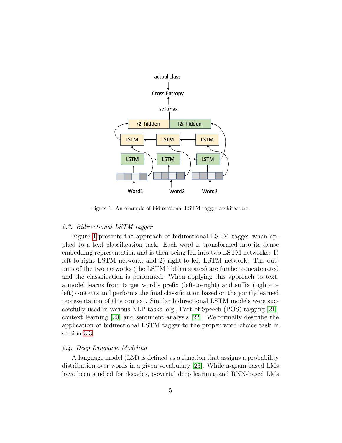

<span id="page-4-0"></span>Figure 1: An example of bidirectional LSTM tagger architecture.

#### 2.3. Bidirectional LSTM tagger

Figure [1](#page-4-0) presents the approach of bidirectional LSTM tagger when applied to a text classification task. Each word is transformed into its dense embedding representation and is then being fed into two LSTM networks: 1) left-to-right LSTM network, and 2) right-to-left LSTM network. The outputs of the two networks (the LSTM hidden states) are further concatenated and the classification is performed. When applying this approach to text, a model learns from target word's prefix (left-to-right) and suffix (right-toleft) contexts and performs the final classification based on the jointly learned representation of this context. Similar bidirectional LSTM models were successfully used in various NLP tasks, e.g., Part-of-Speech (POS) tagging [\[21\]](#page-23-5), context learning [\[20\]](#page-23-4) and sentiment analysis [\[22\]](#page-23-6). We formally describe the application of bidirectional LSTM tagger to the proper word choice task in section [3.3.](#page-6-0)

## 2.4. Deep Language Modeling

A language model (LM) is defined as a function that assigns a probability distribution over words in a given vocabulary [\[23\]](#page-23-7). While n-gram based LMs have been studied for decades, powerful deep learning and RNN-based LMs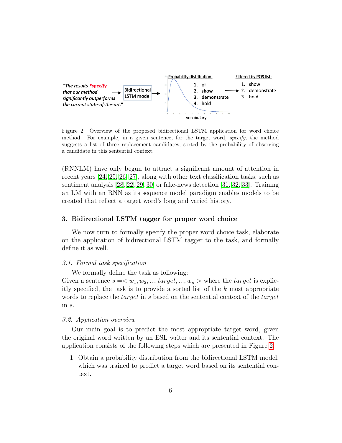

<span id="page-5-0"></span>Figure 2: Overview of the proposed bidirectional LSTM application for word choice method. For example, in a given sentence, for the target word, specify, the method suggests a list of three replacement candidates, sorted by the probability of observing a candidate in this sentential context.

(RNNLM) have only begun to attract a significant amount of attention in recent years [\[24,](#page-23-8) [25,](#page-23-9) [26,](#page-23-10) [27\]](#page-24-0), along with other text classification tasks, such as sentiment analysis [\[28,](#page-24-1) [22,](#page-23-6) [29,](#page-24-2) [30\]](#page-24-3) or fake-news detection [\[31,](#page-24-4) [32,](#page-24-5) [33\]](#page-24-6). Training an LM with an RNN as its sequence model paradigm enables models to be created that reflect a target word's long and varied history.

## 3. Bidirectional LSTM tagger for proper word choice

We now turn to formally specify the proper word choice task, elaborate on the application of bidirectional LSTM tagger to the task, and formally define it as well.

#### 3.1. Formal task specification

We formally define the task as following:

Given a sentence  $s = \langle w_1, w_2, ..., target, ..., w_n \rangle$  where the *target* is explicitly specified, the task is to provide a sorted list of the k most appropriate words to replace the *target* in s based on the sentential context of the *target* in s.

## 3.2. Application overview

Our main goal is to predict the most appropriate target word, given the original word written by an ESL writer and its sentential context. The application consists of the following steps which are presented in Figure [2:](#page-5-0)

1. Obtain a probability distribution from the bidirectional LSTM model, which was trained to predict a target word based on its sentential context.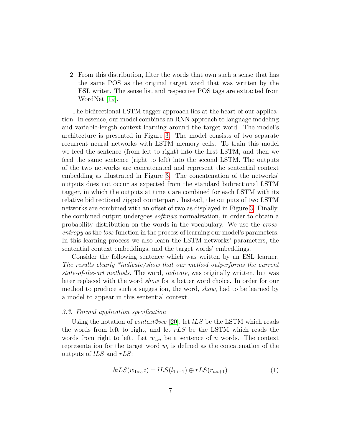2. From this distribution, filter the words that own such a sense that has the same POS as the original target word that was written by the ESL writer. The sense list and respective POS tags are extracted from WordNet [\[19\]](#page-23-3).

The bidirectional LSTM tagger approach lies at the heart of our application. In essence, our model combines an RNN approach to language modeling and variable-length context learning around the target word. The model's architecture is presented in Figure [3.](#page-7-0) The model consists of two separate recurrent neural networks with LSTM memory cells. To train this model we feed the sentence (from left to right) into the first LSTM, and then we feed the same sentence (right to left) into the second LSTM. The outputs of the two networks are concatenated and represent the sentential context embedding as illustrated in Figure [3.](#page-7-0) The concatenation of the networks' outputs does not occur as expected from the standard bidirectional LSTM tagger, in which the outputs at time  $t$  are combined for each LSTM with its relative bidirectional zipped counterpart. Instead, the outputs of two LSTM networks are combined with an offset of two as displayed in Figure [3.](#page-7-0) Finally, the combined output undergoes softmax normalization, in order to obtain a probability distribution on the words in the vocabulary. We use the crossentropy as the loss function in the process of learning our model's parameters. In this learning process we also learn the LSTM networks' parameters, the sentential context embeddings, and the target words' embeddings.

Consider the following sentence which was written by an ESL learner: The results clearly \*indicate/show that our method outperforms the current state-of-the-art methods. The word, indicate, was originally written, but was later replaced with the word show for a better word choice. In order for our method to produce such a suggestion, the word, show, had to be learned by a model to appear in this sentential context.

## <span id="page-6-0"></span>3.3. Formal application specification

Using the notation of *context2vec* [\[20\]](#page-23-4), let  $lLS$  be the LSTM which reads the words from left to right, and let  $rLS$  be the LSTM which reads the words from right to left. Let  $w_{1:n}$  be a sentence of n words. The context representation for the target word  $w_i$  is defined as the concatenation of the outputs of  $lLS$  and  $rLS$ :

$$
biLS(w_{1:n}, i) = lLS(l_{1,i-1}) \oplus rLS(r_{n:i+1})
$$
\n(1)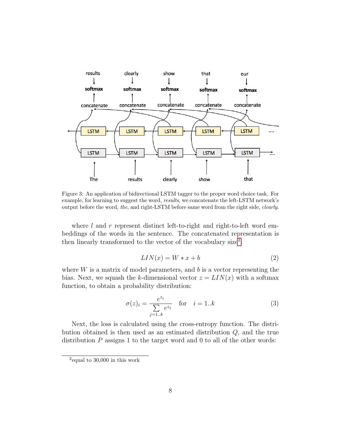

<span id="page-7-0"></span>Figure 3: An application of bidirectional LSTM tagger to the proper word choice task. For example, for learning to suggest the word, results, we concatenate the left-LSTM network's output before the word, the, and right-LSTM before same word from the right side, clearly.

where l and r represent distinct left-to-right and right-to-left word embeddings of the words in the sentence. The concatenated representation is then linearly transformed to the vector of the vocabulary size<sup>[2](#page-7-1)</sup>:

$$
LIN(x) = W * x + b \tag{2}
$$

where  $W$  is a matrix of model parameters, and  $b$  is a vector representing the bias. Next, we squash the k-dimensional vector  $z = LIN(x)$  with a softmax function, to obtain a probability distribution:

$$
\sigma(z)_i = \frac{e^{z_i}}{\sum_{j=1..k} e^{z_j}} \quad \text{for} \quad i = 1..k \tag{3}
$$

Next, the loss is calculated using the cross-entropy function. The distribution obtained is then used as an estimated distribution Q, and the true distribution  $P$  assigns 1 to the target word and 0 to all of the other words:

<span id="page-7-1"></span><sup>2</sup> equal to 30,000 in this work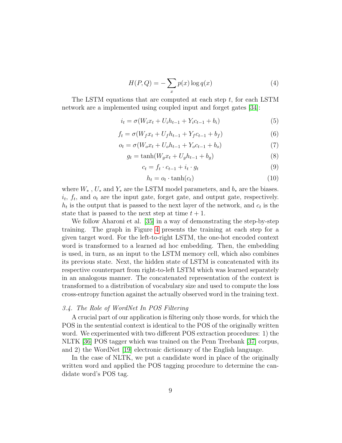$$
H(P,Q) = -\sum_{x} p(x) \log q(x) \tag{4}
$$

The LSTM equations that are computed at each step t, for each LSTM network are a implemented using coupled input and forget gates [\[34\]](#page-24-7):

$$
i_t = \sigma(W_i x_t + U_i h_{t-1} + Y_i c_{t-1} + b_i)
$$
\n(5)

$$
f_t = \sigma(W_f x_t + U_f h_{t-1} + Y_f c_{t-1} + b_f)
$$
\n(6)

$$
o_t = \sigma(W_o x_t + U_o h_{t-1} + Y_o c_{t-1} + b_o)
$$
\n<sup>(7)</sup>

$$
g_t = \tanh(W_g x_t + U_g h_{t-1} + b_g) \tag{8}
$$

$$
c_t = f_t \cdot c_{t-1} + i_t \cdot g_t \tag{9}
$$

$$
h_t = o_t \cdot \tanh(c_t) \tag{10}
$$

where  $W_*$ ,  $U_*$  and  $Y_*$  are the LSTM model parameters, and  $b_*$  are the biases.  $i_t$ ,  $f_t$ , and  $o_t$  are the input gate, forget gate, and output gate, respectively.  $h_t$  is the output that is passed to the next layer of the network, and  $c_t$  is the state that is passed to the next step at time  $t + 1$ .

We follow Aharoni et al. [\[35\]](#page-24-8) in a way of demonstrating the step-by-step training. The graph in Figure [4](#page-9-0) presents the training at each step for a given target word. For the left-to-right LSTM, the one-hot encoded context word is transformed to a learned ad hoc embedding. Then, the embedding is used, in turn, as an input to the LSTM memory cell, which also combines its previous state. Next, the hidden state of LSTM is concatenated with its respective counterpart from right-to-left LSTM which was learned separately in an analogous manner. The concatenated representation of the context is transformed to a distribution of vocabulary size and used to compute the loss cross-entropy function against the actually observed word in the training text.

## 3.4. The Role of WordNet In POS Filtering

A crucial part of our application is filtering only those words, for which the POS in the sentential context is identical to the POS of the originally written word. We experimented with two different POS extraction procedures: 1) the NLTK [\[36\]](#page-24-9) POS tagger which was trained on the Penn Treebank [\[37\]](#page-25-0) corpus, and 2) the WordNet [\[19\]](#page-23-3) electronic dictionary of the English language.

In the case of NLTK, we put a candidate word in place of the originally written word and applied the POS tagging procedure to determine the candidate word's POS tag.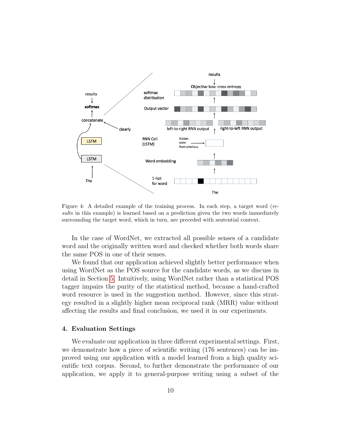

<span id="page-9-0"></span>Figure 4: A detailed example of the training process. In each step, a target word (results in this example) is learned based on a prediction given the two words immediately surrounding the target word, which in turn, are preceded with sentential context.

In the case of WordNet, we extracted all possible senses of a candidate word and the originally written word and checked whether both words share the same POS in one of their senses.

We found that our application achieved slightly better performance when using WordNet as the POS source for the candidate words, as we discuss in detail in Section [5.](#page-15-0) Intuitively, using WordNet rather than a statistical POS tagger impairs the purity of the statistical method, because a hand-crafted word resource is used in the suggestion method. However, since this strategy resulted in a slightly higher mean reciprocal rank (MRR) value without affecting the results and final conclusion, we used it in our experiments.

# <span id="page-9-1"></span>4. Evaluation Settings

We evaluate our application in three different experimental settings. First, we demonstrate how a piece of scientific writing (176 sentences) can be improved using our application with a model learned from a high quality scientific text corpus. Second, to further demonstrate the performance of our application, we apply it to general-purpose writing using a subset of the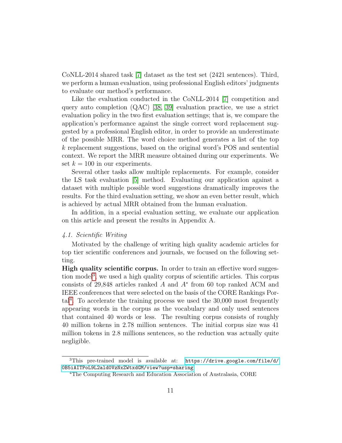CoNLL-2014 shared task [\[7\]](#page-22-0) dataset as the test set (2421 sentences). Third, we perform a human evaluation, using professional English editors' judgments to evaluate our method's performance.

Like the evaluation conducted in the CoNLL-2014 [\[7\]](#page-22-0) competition and query auto completion (QAC) [\[38,](#page-25-1) [39\]](#page-25-2) evaluation practice, we use a strict evaluation policy in the two first evaluation settings; that is, we compare the application's performance against the single correct word replacement suggested by a professional English editor, in order to provide an underestimate of the possible MRR. The word choice method generates a list of the top k replacement suggestions, based on the original word's POS and sentential context. We report the MRR measure obtained during our experiments. We set  $k = 100$  in our experiments.

Several other tasks allow multiple replacements. For example, consider the LS task evaluation [\[5\]](#page-21-4) method. Evaluating our application against a dataset with multiple possible word suggestions dramatically improves the results. For the third evaluation setting, we show an even better result, which is achieved by actual MRR obtained from the human evaluation.

In addition, in a special evaluation setting, we evaluate our application on this article and present the results in Appendix A.

## 4.1. Scientific Writing

Motivated by the challenge of writing high quality academic articles for top tier scientific conferences and journals, we focused on the following setting.

High quality scientific corpus. In order to train an effective word sugges-tion model<sup>[3](#page-10-0)</sup>, we used a high quality corpus of scientific articles. This corpus consists of 29,848 articles ranked  $A$  and  $A^*$  from 60 top ranked ACM and IEEE conferences that were selected on the basis of the CORE Rankings Por-tal<sup>[4](#page-10-1)</sup>. To accelerate the training process we used the 30,000 most frequently appearing words in the corpus as the vocabulary and only used sentences that contained 40 words or less. The resulting corpus consists of roughly 40 million tokens in 2.78 million sentences. The initial corpus size was 41 million tokens in 2.8 millions sentences, so the reduction was actually quite negligible.

<span id="page-10-0"></span> $3$ This pre-trained model is available at: [https://drive.google.com/file/d/]( https://drive.google.com/file/d/0B5iAITPoL9L2ald0VzNxZWtxdGM/view?usp=sharing) [0B5iAITPoL9L2ald0VzNxZWtxdGM/view?usp=sharing]( https://drive.google.com/file/d/0B5iAITPoL9L2ald0VzNxZWtxdGM/view?usp=sharing)

<span id="page-10-1"></span><sup>&</sup>lt;sup>4</sup>The Computing Research and Education Association of Australasia, CORE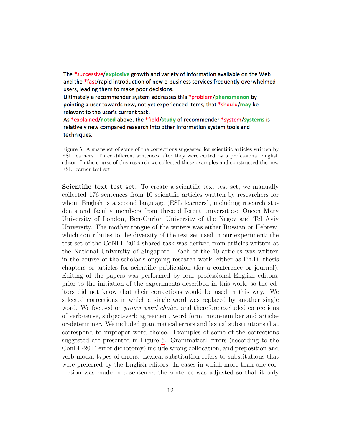The \*successive/explosive growth and variety of information available on the Web and the \*fast/rapid introduction of new e-business services frequently overwhelmed users, leading them to make poor decisions.

Ultimately a recommender system addresses this \*problem/phenomenon by pointing a user towards new, not yet experienced items, that \*should/may be relevant to the user's current task.

As \*explained/noted above, the \*field/study of recommender \*system/systems is relatively new compared research into other information system tools and techniques.

<span id="page-11-0"></span>Figure 5: A snapshot of some of the corrections suggested for scientific articles written by ESL learners. Three different sentences after they were edited by a professional English editor. In the course of this research we collected these examples and constructed the new ESL learner test set.

Scientific text test set. To create a scientific text test set, we manually collected 176 sentences from 10 scientific articles written by researchers for whom English is a second language (ESL learners), including research students and faculty members from three different universities: Queen Mary University of London, Ben-Gurion University of the Negev and Tel Aviv University. The mother tongue of the writers was either Russian or Hebrew, which contributes to the diversity of the test set used in our experiment; the test set of the CoNLL-2014 shared task was derived from articles written at the National University of Singapore. Each of the 10 articles was written in the course of the scholar's ongoing research work, either as Ph.D. thesis chapters or articles for scientific publication (for a conference or journal). Editing of the papers was performed by four professional English editors, prior to the initiation of the experiments described in this work, so the editors did not know that their corrections would be used in this way. We selected corrections in which a single word was replaced by another single word. We focused on *proper word choice*, and therefore excluded corrections of verb-tense, subject-verb agreement, word form, noun-number and articleor-determiner. We included grammatical errors and lexical substitutions that correspond to improper word choice. Examples of some of the corrections suggested are presented in Figure [5.](#page-11-0) Grammatical errors (according to the ConLL-2014 error dichotomy) include wrong collocation, and preposition and verb modal types of errors. Lexical substitution refers to substitutions that were preferred by the English editors. In cases in which more than one correction was made in a sentence, the sentence was adjusted so that it only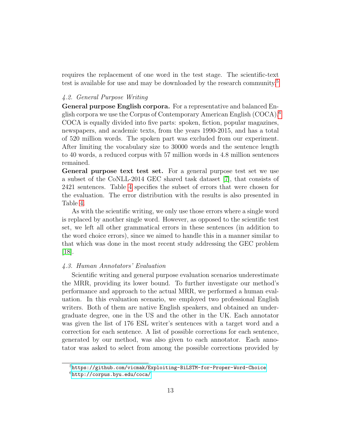requires the replacement of one word in the test stage. The scientific-text test is available for use and may be downloaded by the research community.<sup>[5](#page-12-0)</sup>

## 4.2. General Purpose Writing

General purpose English corpora. For a representative and balanced English corpora we use the Corpus of Contemporary American English (COCA).[6](#page-12-1) COCA is equally divided into five parts: spoken, fiction, popular magazines, newspapers, and academic texts, from the years 1990-2015, and has a total of 520 million words. The spoken part was excluded from our experiment. After limiting the vocabulary size to 30000 words and the sentence length to 40 words, a reduced corpus with 57 million words in 4.8 million sentences remained.

General purpose text test set. For a general purpose test set we use a subset of the CoNLL-2014 GEC shared task dataset [\[7\]](#page-22-0), that consists of 2421 sentences. Table [4](#page-18-0) specifies the subset of errors that were chosen for the evaluation. The error distribution with the results is also presented in Table [4.](#page-18-0)

As with the scientific writing, we only use those errors where a single word is replaced by another single word. However, as opposed to the scientific test set, we left all other grammatical errors in these sentences (in addition to the word choice errors), since we aimed to handle this in a manner similar to that which was done in the most recent study addressing the GEC problem [\[18\]](#page-23-2).

# 4.3. Human Annotators' Evaluation

Scientific writing and general purpose evaluation scenarios underestimate the MRR, providing its lower bound. To further investigate our method's performance and approach to the actual MRR, we performed a human evaluation. In this evaluation scenario, we employed two professional English writers. Both of them are native English speakers, and obtained an undergraduate degree, one in the US and the other in the UK. Each annotator was given the list of 176 ESL writer's sentences with a target word and a correction for each sentence. A list of possible corrections for each sentence, generated by our method, was also given to each annotator. Each annotator was asked to select from among the possible corrections provided by

<span id="page-12-1"></span><span id="page-12-0"></span><sup>5</sup><https://github.com/vicmak/Exploiting-BiLSTM-for-Proper-Word-Choice>  $6$ <http://corpus.byu.edu/coca/>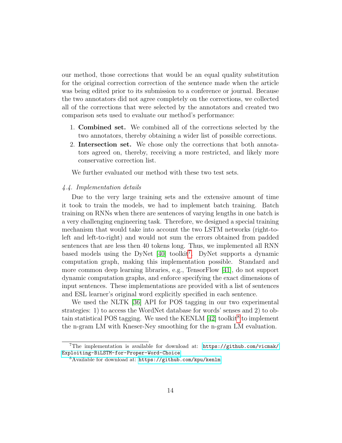our method, those corrections that would be an equal quality substitution for the original correction correction of the sentence made when the article was being edited prior to its submission to a conference or journal. Because the two annotators did not agree completely on the corrections, we collected all of the corrections that were selected by the annotators and created two comparison sets used to evaluate our method's performance:

- 1. Combined set. We combined all of the corrections selected by the two annotators, thereby obtaining a wider list of possible corrections.
- 2. Intersection set. We chose only the corrections that both annotators agreed on, thereby, receiving a more restricted, and likely more conservative correction list.

We further evaluated our method with these two test sets.

# 4.4. Implementation details

Due to the very large training sets and the extensive amount of time it took to train the models, we had to implement batch training. Batch training on RNNs when there are sentences of varying lengths in one batch is a very challenging engineering task. Therefore, we designed a special training mechanism that would take into account the two LSTM networks (right-toleft and left-to-right) and would not sum the errors obtained from padded sentences that are less then 40 tokens long. Thus, we implemented all RNN based models using the DyNet [\[40\]](#page-25-3) toolkit<sup>[7](#page-13-0)</sup>. DyNet supports a dynamic computation graph, making this implementation possible. Standard and more common deep learning libraries, e.g., TensorFlow [\[41\]](#page-25-4), do not support dynamic computation graphs, and enforce specifying the exact dimensions of input sentences. These implementations are provided with a list of sentences and ESL learner's original word explicitly specified in each sentence.

We used the NLTK [\[36\]](#page-24-9) API for POS tagging in our two experimental strategies: 1) to access the WordNet database for words' senses and 2) to obtain statistical POS tagging. We used the KENLM  $[42]$  toolkit<sup>[8](#page-13-1)</sup> to implement the n-gram LM with Kneser-Ney smoothing for the n-gram LM evaluation.

<span id="page-13-0"></span><sup>&</sup>lt;sup>7</sup>The implementation is available for download at:  $https://github.com/vicmak/$ [Exploiting-BiLSTM-for-Proper-Word-Choice](https://github.com/vicmak/Exploiting-BiLSTM-for-Proper-Word-Choice)

<span id="page-13-1"></span><sup>8</sup>Available for download at: <https://github.com/kpu/kenlm>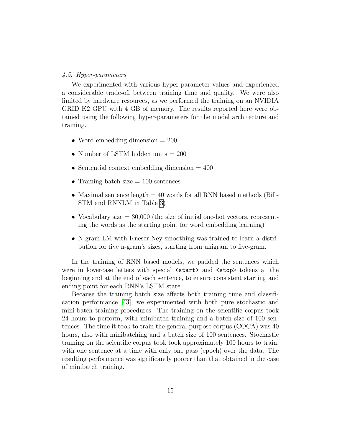#### 4.5. Hyper-parameters

We experimented with various hyper-parameter values and experienced a considerable trade-off between training time and quality. We were also limited by hardware resources, as we performed the training on an NVIDIA GRID K2 GPU with 4 GB of memory. The results reported here were obtained using the following hyper-parameters for the model architecture and training.

- Word embedding dimension  $= 200$
- Number of LSTM hidden units = 200
- Sentential context embedding dimension  $= 400$
- Training batch size  $= 100$  sentences
- Maximal sentence length  $= 40$  words for all RNN based methods (BiL-STM and RNNLM in Table [3\)](#page-16-0)
- Vocabulary size  $=$  30,000 (the size of initial one-hot vectors, representing the words as the starting point for word embedding learning)
- N-gram LM with Kneser-Ney smoothing was trained to learn a distribution for five n-gram's sizes, starting from unigram to five-gram.

In the training of RNN based models, we padded the sentences which were in lowercase letters with special  $\text{start}$  and  $\text{stop}$  tokens at the beginning and at the end of each sentence, to ensure consistent starting and ending point for each RNN's LSTM state.

Because the training batch size affects both training time and classification performance [\[43\]](#page-25-6), we experimented with both pure stochastic and mini-batch training procedures. The training on the scientific corpus took 24 hours to perform, with minibatch training and a batch size of 100 sentences. The time it took to train the general-purpose corpus (COCA) was 40 hours, also with minibatching and a batch size of 100 sentences. Stochastic training on the scientific corpus took took approximately 100 hours to train, with one sentence at a time with only one pass (epoch) over the data. The resulting performance was significantly poorer than that obtained in the case of minibatch training.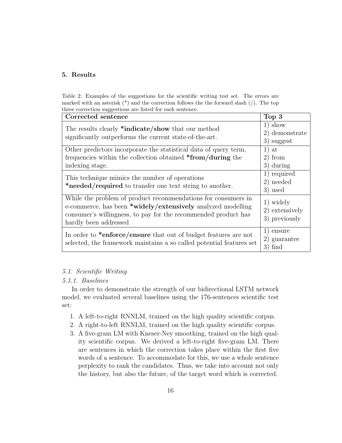# <span id="page-15-0"></span>5. Results

<span id="page-15-1"></span>Table 2: Examples of the suggestions for the scientific writing test set. The errors are marked with an asterisk  $(*)$  and the correction follows the the forward slash  $\langle \cdot \rangle$ . The top three correction suggestions are listed for each sentence.

| Corrected sentence                                                                                                                                                                                                      | Top 3                                        |
|-------------------------------------------------------------------------------------------------------------------------------------------------------------------------------------------------------------------------|----------------------------------------------|
| The results clearly *indicate/show that our method<br>significantly outperforms the current state-of-the-art.                                                                                                           | $1)$ show<br>2) demonstrate<br>3) suggest    |
| Other predictors incorporate the statistical data of query term,<br>frequencies within the collection obtained *from/during the<br>indexing stage.                                                                      | $1)$ at<br>2) from<br>3) during              |
| This technique mimics the number of operations<br>*needed/required to transfer one text string to another.                                                                                                              | 1) required<br>2) needed<br>3) used          |
| While the problem of product recommendations for consumers in<br>e-commerce, has been *widely/extensively analyzed modelling<br>consumer's willingness, to pay for the recommended product has<br>hardly been addressed | 1) widely<br>2) extensively<br>3) previously |
| In order to *enforce/ensure that out of budget features are not<br>selected, the framework maintains a so called potential features set                                                                                 | 1) ensure<br>2) guarantee<br>$3)$ find       |

# 5.1. Scientific Writing

# 5.1.1. Baselines

In order to demonstrate the strength of our bidirectional LSTM network model, we evaluated several baselines using the 176-sentences scientific test set:

- 1. A left-to-right RNNLM, trained on the high quality scientific corpus.
- 2. A right-to-left RNNLM, trained on the high quality scientific corpus.
- 3. A five-gram LM with Kneser-Ney smoothing, trained on the high quality scientific corpus. We derived a left-to-right five-gram LM. There are sentences in which the correction takes place within the first five words of a sentence. To accommodate for this, we use a whole sentence perplexity to rank the candidates. Thus, we take into account not only the history, but also the future, of the target word which is corrected.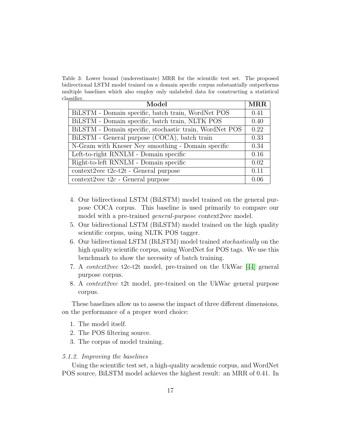<span id="page-16-0"></span>Table 3: Lower bound (underestimate) MRR for the scientific test set. The proposed bidirectional LSTM model trained on a domain specific corpus substantially outperforms multiple baselines which also employ only unlabeled data for constructing a statistical classifier.

| Model                                                   |      |
|---------------------------------------------------------|------|
| BiLSTM - Domain specific, batch train, WordNet POS      | 0.41 |
| BiLSTM - Domain specific, batch train, NLTK POS         | 0.40 |
| BiLSTM - Domain specific, stochastic train, WordNet POS | 0.22 |
| BiLSTM - General purpose (COCA), batch train            |      |
| N-Gram with Kneser Ney smoothing - Domain specific      |      |
| Left-to-right RNNLM - Domain specific                   |      |
| Right-to-left RNNLM - Domain specific                   |      |
| $context2vec t2c-t2t - General purpose$                 |      |
| context2vec t2c - General purpose                       |      |

- 4. Our bidirectional LSTM (BiLSTM) model trained on the general purpose COCA corpus. This baseline is used primarily to compare our model with a pre-trained *general-purpose* context2vec model.
- 5. Our bidirectional LSTM (BiLSTM) model trained on the high quality scientific corpus, using NLTK POS tagger.
- 6. Our bidirectional LSTM (BiLSTM) model trained stochastically on the high quality scientific corpus, using WordNet for POS tags. We use this benchmark to show the necessity of batch training.
- 7. A context2vec t2c-t2t model, pre-trained on the UkWac [\[44\]](#page-25-7) general purpose corpus.
- 8. A context2vec t2t model, pre-trained on the UkWac general purpose corpus.

These baselines allow us to assess the impact of three different dimensions, on the performance of a proper word choice:

- 1. The model itself.
- 2. The POS filtering source.
- 3. The corpus of model training.

# 5.1.2. Improving the baselines

Using the scientific test set, a high-quality academic corpus, and WordNet POS source, BiLSTM model achieves the highest result: an MRR of 0.41. In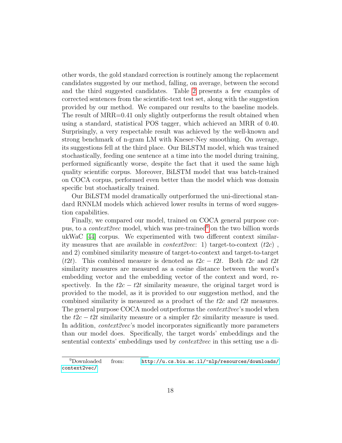other words, the gold standard correction is routinely among the replacement candidates suggested by our method, falling, on average, between the second and the third suggested candidates. Table [2](#page-15-1) presents a few examples of corrected sentences from the scientific-text test set, along with the suggestion provided by our method. We compared our results to the baseline models. The result of MRR=0.41 only slightly outperforms the result obtained when using a standard, statistical POS tagger, which achieved an MRR of 0.40. Surprisingly, a very respectable result was achieved by the well-known and strong benchmark of n-gram LM with Kneser-Ney smoothing. On average, its suggestions fell at the third place. Our BiLSTM model, which was trained stochastically, feeding one sentence at a time into the model during training, performed significantly worse, despite the fact that it used the same high quality scientific corpus. Moreover, BiLSTM model that was batch-trained on COCA corpus, performed even better than the model which was domain specific but stochastically trained.

Our BiLSTM model dramatically outperformed the uni-directional standard RNNLM models which achieved lower results in terms of word suggestion capabilities.

Finally, we compared our model, trained on COCA general purpose corpus, to a *context2vec* model, which was pre-trained<sup>[9](#page-17-0)</sup> on the two billion words ukWaC [\[44\]](#page-25-7) corpus. We experimented with two different context similarity measures that are available in *context2vec*: 1) target-to-context  $(t2c)$ , and 2) combined similarity measure of target-to-context and target-to-target (t2t). This combined measure is denoted as  $t2c - t2t$ . Both t2c and t2t similarity measures are measured as a cosine distance between the word's embedding vector and the embedding vector of the context and word, respectively. In the  $t2c - t2t$  similarity measure, the original target word is provided to the model, as it is provided to our suggestion method, and the combined similarity is measured as a product of the t2c and t2t measures. The general purpose COCA model outperforms the *context2vec*'s model when the  $t2c - t2t$  similarity measure or a simpler  $t2c$  similarity measure is used. In addition, *context2vec*'s model incorporates significantly more parameters than our model does. Specifically, the target words' embeddings and the sentential contexts' embeddings used by *context2vec* in this setting use a di-

<span id="page-17-0"></span> $^{9}$ Downloaded from: [http://u.cs.biu.ac.il/~nlp/resources/downloads/](http://u.cs.biu.ac.il/~nlp/resources/downloads/context2vec/) [context2vec/](http://u.cs.biu.ac.il/~nlp/resources/downloads/context2vec/)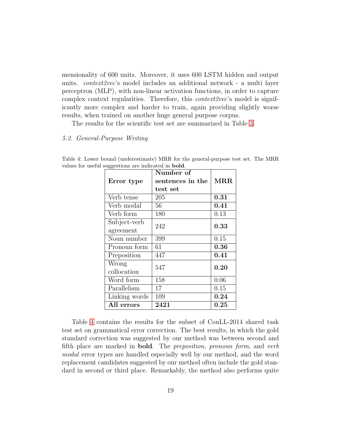mensionality of 600 units. Moreover, it uses 600 LSTM hidden and output units. context2vec's model includes an additional network - a multi layer perceptron (MLP), with non-linear activation functions, in order to capture complex context regularities. Therefore, this *context2vec*'s model is significantly more complex and harder to train, again providing slightly worse results, when trained on another huge general purpose corpus.

The results for the scientific test set are summarized in Table [3.](#page-16-0)

# 5.2. General-Purpose Writing

|               | Number of        |          |  |
|---------------|------------------|----------|--|
| Error type    | sentences in the | MRR.     |  |
|               | test set         |          |  |
| Verb tense    | 205              | 0.31     |  |
| Verb modal    | 56               | $0.41\,$ |  |
| Verb form     | 180              | 0.13     |  |
| Subject-verb  | 242              | 0.33     |  |
| agreement     |                  |          |  |
| Noun number   | 399              | 0.15     |  |
| Pronoun form  | 61               | 0.36     |  |
| Preposition   | 447              | $0.41\,$ |  |
| Wrong         | 547              | 0.20     |  |
| collocation   |                  |          |  |
| Word form     | 158              | 0.06     |  |
| Parallelism   | 17               | 0.15     |  |
| Linking words | 109              | 0.24     |  |
| All errors    | 2421             | 0.25     |  |

<span id="page-18-0"></span>Table 4: Lower bound (underestimate) MRR for the general-purpose test set. The MRR values for useful suggestions are indicated in bold.

Table [4](#page-18-0) contains the results for the subset of ConLL-2014 shared task test set on grammatical error correction. The best results, in which the gold standard correction was suggested by our method was between second and fifth place are marked in bold. The preposition, pronoun form, and verb modal error types are handled especially well by our method, and the word replacement candidates suggested by our method often include the gold standard in second or third place. Remarkably, the method also performs quite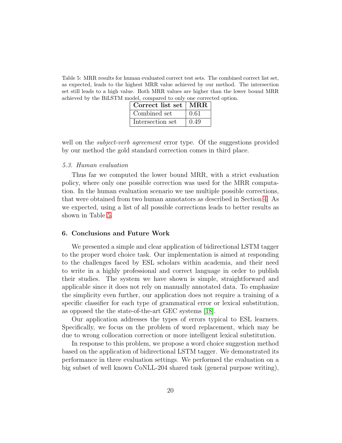<span id="page-19-0"></span>Table 5: MRR results for human evaluated correct test sets. The combined correct list set, as expected, leads to the highest MRR value achieved by our method. The intersection set still leads to a high value. Both MRR values are higher than the lower bound MRR achieved by the BiLSTM model, compared to only one corrected option.

| Correct list set   MRR |      |
|------------------------|------|
| Combined set           | 0.61 |
| Intersection set       | 0.49 |

well on the *subject-verb agreement* error type. Of the suggestions provided by our method the gold standard correction comes in third place.

#### 5.3. Human evaluation

Thus far we computed the lower bound MRR, with a strict evaluation policy, where only one possible correction was used for the MRR computation. In the human evaluation scenario we use multiple possible corrections, that were obtained from two human annotators as described in Section [4.](#page-9-1) As we expected, using a list of all possible corrections leads to better results as shown in Table [5.](#page-19-0)

# 6. Conclusions and Future Work

We presented a simple and clear application of bidirectional LSTM tagger to the proper word choice task. Our implementation is aimed at responding to the challenges faced by ESL scholars within academia, and their need to write in a highly professional and correct language in order to publish their studies. The system we have shown is simple, straightforward and applicable since it does not rely on manually annotated data. To emphasize the simplicity even further, our application does not require a training of a specific classifier for each type of grammatical error or lexical substitution, as opposed the the state-of-the-art GEC systems [\[18\]](#page-23-2).

Our application addresses the types of errors typical to ESL learners. Specifically, we focus on the problem of word replacement, which may be due to wrong collocation correction or more intelligent lexical substitution.

In response to this problem, we propose a word choice suggestion method based on the application of bidirectional LSTM tagger. We demonstrated its performance in three evaluation settings. We performed the evaluation on a big subset of well known CoNLL-204 shared task (general purpose writing),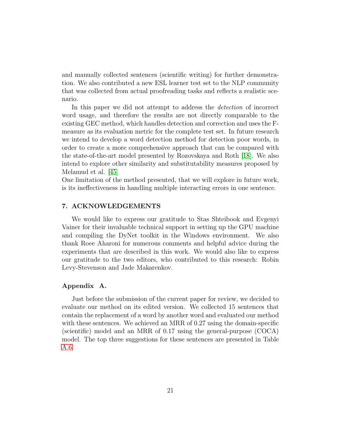and manually collected sentences (scientific writing) for further demonstration. We also contributed a new ESL learner test set to the NLP community that was collected from actual proofreading tasks and reflects a realistic scenario.

In this paper we did not attempt to address the *detection* of incorrect word usage, and therefore the results are not directly comparable to the existing GEC method, which handles detection and correction and uses the Fmeasure as its evaluation metric for the complete test set. In future research we intend to develop a word detection method for detection poor words, in order to create a more comprehensive approach that can be compared with the state-of-the-art model presented by Rozovskaya and Roth [\[18\]](#page-23-2). We also intend to explore other similarity and substitutability measures proposed by Melamud et al. [\[45\]](#page-26-0)

One limitation of the method presented, that we will explore in future work, is its ineffectiveness in handling multiple interacting errors in one sentence.

# 7. ACKNOWLEDGEMENTS

We would like to express our gratitude to Stas Shteibook and Evgenyi Vainer for their invaluable technical support in setting up the GPU machine and compiling the DyNet toolkit in the Windows environment. We also thank Roee Aharoni for numerous comments and helpful advice during the experiments that are described in this work. We would also like to express our gratitude to the two editors, who contributed to this research: Robin Levy-Stevenson and Jade Makarenkov.

# Appendix A.

Just before the submission of the current paper for review, we decided to evaluate our method on its edited version. We collected 15 sentences that contain the replacement of a word by another word and evaluated our method with these sentences. We achieved an MRR of 0.27 using the domain-specific (scientific) model and an MRR of 0.17 using the general-purpose (COCA) model. The top three suggestions for these sentences are presented in Table [A.6.](#page-21-6)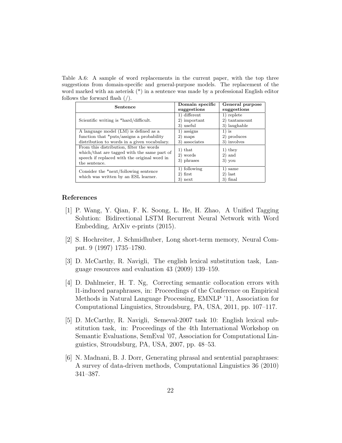<span id="page-21-6"></span>Table A.6: A sample of word replacements in the current paper, with the top three suggestions from domain-specific and general-purpose models. The replacement of the word marked with an asterisk (\*) in a sentence was made by a professional English editor follows the forward flash (/).

| Sentence                                                                                                                                                 | Domain specific<br>suggestions            | General purpose<br>suggestions              |
|----------------------------------------------------------------------------------------------------------------------------------------------------------|-------------------------------------------|---------------------------------------------|
| Scientific writing is *hard/difficult.                                                                                                                   | 1) different<br>2) important<br>3) useful | 1) replete<br>2) tantamount<br>3) laughable |
| A language model (LM) is defined as a<br>function that *puts/assigns a probability<br>distribution to words in a given vocabulary.                       | 1) assigns<br>2) maps<br>3) associates    | $1)$ is<br>2) produces<br>3) involves       |
| From this distribution, filter the words<br>which/that are tagged with the same part of<br>speech if replaced with the original word in<br>the sentence. | $1)$ that<br>2) words<br>3) phrases       | $1)$ they<br>$2)$ and<br>$3)$ you           |
| Consider the *next/following sentence<br>which was written by an ESL learner.                                                                            | 1) following<br>$2)$ first<br>3) next     | 1) same<br>$2)$ last<br>$3)$ final          |

## References

- <span id="page-21-0"></span>[1] P. Wang, Y. Qian, F. K. Soong, L. He, H. Zhao, A Unified Tagging Solution: Bidirectional LSTM Recurrent Neural Network with Word Embedding, ArXiv e-prints (2015).
- <span id="page-21-1"></span>[2] S. Hochreiter, J. Schmidhuber, Long short-term memory, Neural Comput. 9 (1997) 1735–1780.
- <span id="page-21-2"></span>[3] D. McCarthy, R. Navigli, The english lexical substitution task, Language resources and evaluation 43 (2009) 139–159.
- <span id="page-21-3"></span>[4] D. Dahlmeier, H. T. Ng, Correcting semantic collocation errors with l1-induced paraphrases, in: Proceedings of the Conference on Empirical Methods in Natural Language Processing, EMNLP '11, Association for Computational Linguistics, Stroudsburg, PA, USA, 2011, pp. 107–117.
- <span id="page-21-4"></span>[5] D. McCarthy, R. Navigli, Semeval-2007 task 10: English lexical substitution task, in: Proceedings of the 4th International Workshop on Semantic Evaluations, SemEval '07, Association for Computational Linguistics, Stroudsburg, PA, USA, 2007, pp. 48–53.
- <span id="page-21-5"></span>[6] N. Madnani, B. J. Dorr, Generating phrasal and sentential paraphrases: A survey of data-driven methods, Computational Linguistics 36 (2010) 341–387.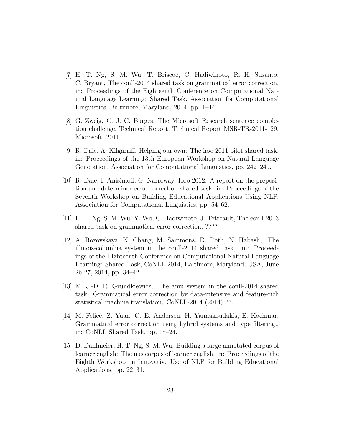- <span id="page-22-0"></span>[7] H. T. Ng, S. M. Wu, T. Briscoe, C. Hadiwinoto, R. H. Susanto, C. Bryant, The conll-2014 shared task on grammatical error correction, in: Proceedings of the Eighteenth Conference on Computational Natural Language Learning: Shared Task, Association for Computational Linguistics, Baltimore, Maryland, 2014, pp. 1–14.
- <span id="page-22-1"></span>[8] G. Zweig, C. J. C. Burges, The Microsoft Research sentence completion challenge, Technical Report, Technical Report MSR-TR-2011-129, Microsoft, 2011.
- <span id="page-22-2"></span>[9] R. Dale, A. Kilgarriff, Helping our own: The hoo 2011 pilot shared task, in: Proceedings of the 13th European Workshop on Natural Language Generation, Association for Computational Linguistics, pp. 242–249.
- <span id="page-22-3"></span>[10] R. Dale, I. Anisimoff, G. Narroway, Hoo 2012: A report on the preposition and determiner error correction shared task, in: Proceedings of the Seventh Workshop on Building Educational Applications Using NLP, Association for Computational Linguistics, pp. 54–62.
- <span id="page-22-4"></span>[11] H. T. Ng, S. M. Wu, Y. Wu, C. Hadiwinoto, J. Tetreault, The conll-2013 shared task on grammatical error correction, ????
- <span id="page-22-5"></span>[12] A. Rozovskaya, K. Chang, M. Sammons, D. Roth, N. Habash, The illinois-columbia system in the conll-2014 shared task, in: Proceedings of the Eighteenth Conference on Computational Natural Language Learning: Shared Task, CoNLL 2014, Baltimore, Maryland, USA, June 26-27, 2014, pp. 34–42.
- <span id="page-22-6"></span>[13] M. J.-D. R. Grundkiewicz, The amu system in the conll-2014 shared task: Grammatical error correction by data-intensive and feature-rich statistical machine translation, CoNLL-2014 (2014) 25.
- <span id="page-22-7"></span>[14] M. Felice, Z. Yuan, Ø. E. Andersen, H. Yannakoudakis, E. Kochmar, Grammatical error correction using hybrid systems and type filtering., in: CoNLL Shared Task, pp. 15–24.
- <span id="page-22-8"></span>[15] D. Dahlmeier, H. T. Ng, S. M. Wu, Building a large annotated corpus of learner english: The nus corpus of learner english, in: Proceedings of the Eighth Workshop on Innovative Use of NLP for Building Educational Applications, pp. 22–31.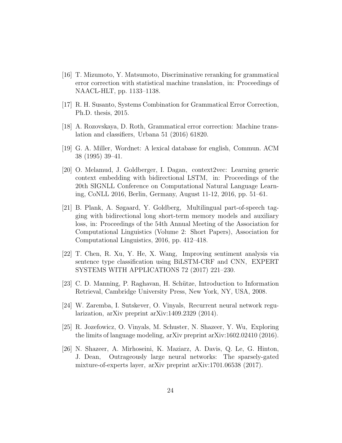- <span id="page-23-0"></span>[16] T. Mizumoto, Y. Matsumoto, Discriminative reranking for grammatical error correction with statistical machine translation, in: Proceedings of NAACL-HLT, pp. 1133–1138.
- <span id="page-23-1"></span>[17] R. H. Susanto, Systems Combination for Grammatical Error Correction, Ph.D. thesis, 2015.
- <span id="page-23-2"></span>[18] A. Rozovskaya, D. Roth, Grammatical error correction: Machine translation and classifiers, Urbana 51 (2016) 61820.
- <span id="page-23-3"></span>[19] G. A. Miller, Wordnet: A lexical database for english, Commun. ACM 38 (1995) 39–41.
- <span id="page-23-4"></span>[20] O. Melamud, J. Goldberger, I. Dagan, context2vec: Learning generic context embedding with bidirectional LSTM, in: Proceedings of the 20th SIGNLL Conference on Computational Natural Language Learning, CoNLL 2016, Berlin, Germany, August 11-12, 2016, pp. 51–61.
- <span id="page-23-5"></span>[21] B. Plank, A. Søgaard, Y. Goldberg, Multilingual part-of-speech tagging with bidirectional long short-term memory models and auxiliary loss, in: Proceedings of the 54th Annual Meeting of the Association for Computational Linguistics (Volume 2: Short Papers), Association for Computational Linguistics, 2016, pp. 412–418.
- <span id="page-23-6"></span>[22] T. Chen, R. Xu, Y. He, X. Wang, Improving sentiment analysis via sentence type classification using BiLSTM-CRF and CNN, EXPERT SYSTEMS WITH APPLICATIONS 72 (2017) 221–230.
- <span id="page-23-7"></span>[23] C. D. Manning, P. Raghavan, H. Schütze, Introduction to Information Retrieval, Cambridge University Press, New York, NY, USA, 2008.
- <span id="page-23-8"></span>[24] W. Zaremba, I. Sutskever, O. Vinyals, Recurrent neural network regularization, arXiv preprint arXiv:1409.2329 (2014).
- <span id="page-23-9"></span>[25] R. Jozefowicz, O. Vinyals, M. Schuster, N. Shazeer, Y. Wu, Exploring the limits of language modeling, arXiv preprint arXiv:1602.02410 (2016).
- <span id="page-23-10"></span>[26] N. Shazeer, A. Mirhoseini, K. Maziarz, A. Davis, Q. Le, G. Hinton, J. Dean, Outrageously large neural networks: The sparsely-gated mixture-of-experts layer, arXiv preprint arXiv:1701.06538 (2017).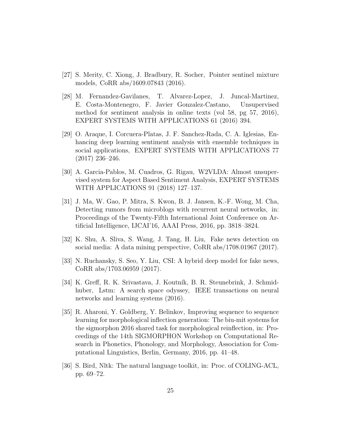- <span id="page-24-0"></span>[27] S. Merity, C. Xiong, J. Bradbury, R. Socher, Pointer sentinel mixture models, CoRR abs/1609.07843 (2016).
- <span id="page-24-1"></span>[28] M. Fernandez-Gavilanes, T. Alvarez-Lopez, J. Juncal-Martinez, E. Costa-Montenegro, F. Javier Gonzalez-Castano, Unsupervised method for sentiment analysis in online texts (vol 58, pg 57, 2016), EXPERT SYSTEMS WITH APPLICATIONS 61 (2016) 394.
- <span id="page-24-2"></span>[29] O. Araque, I. Corcuera-Platas, J. F. Sanchez-Rada, C. A. Iglesias, Enhancing deep learning sentiment analysis with ensemble techniques in social applications, EXPERT SYSTEMS WITH APPLICATIONS 77 (2017) 236–246.
- <span id="page-24-3"></span>[30] A. Garcia-Pablos, M. Cuadros, G. Rigau, W2VLDA: Almost unsupervised system for Aspect Based Sentiment Analysis, EXPERT SYSTEMS WITH APPLICATIONS 91 (2018) 127–137.
- <span id="page-24-4"></span>[31] J. Ma, W. Gao, P. Mitra, S. Kwon, B. J. Jansen, K.-F. Wong, M. Cha, Detecting rumors from microblogs with recurrent neural networks, in: Proceedings of the Twenty-Fifth International Joint Conference on Artificial Intelligence, IJCAI'16, AAAI Press, 2016, pp. 3818–3824.
- <span id="page-24-5"></span>[32] K. Shu, A. Sliva, S. Wang, J. Tang, H. Liu, Fake news detection on social media: A data mining perspective, CoRR abs/1708.01967 (2017).
- <span id="page-24-6"></span>[33] N. Ruchansky, S. Seo, Y. Liu, CSI: A hybrid deep model for fake news, CoRR abs/1703.06959 (2017).
- <span id="page-24-7"></span>[34] K. Greff, R. K. Srivastava, J. Koutník, B. R. Steunebrink, J. Schmidhuber, Lstm: A search space odyssey, IEEE transactions on neural networks and learning systems (2016).
- <span id="page-24-8"></span>[35] R. Aharoni, Y. Goldberg, Y. Belinkov, Improving sequence to sequence learning for morphological inflection generation: The biu-mit systems for the sigmorphon 2016 shared task for morphological reinflection, in: Proceedings of the 14th SIGMORPHON Workshop on Computational Research in Phonetics, Phonology, and Morphology, Association for Computational Linguistics, Berlin, Germany, 2016, pp. 41–48.
- <span id="page-24-9"></span>[36] S. Bird, Nltk: The natural language toolkit, in: Proc. of COLING-ACL, pp. 69–72.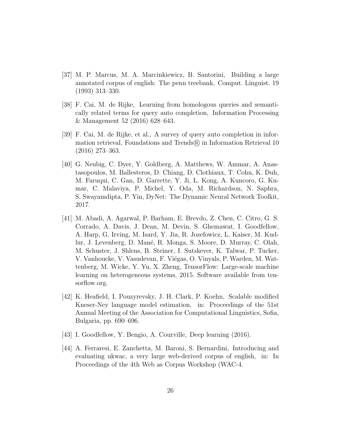- <span id="page-25-0"></span>[37] M. P. Marcus, M. A. Marcinkiewicz, B. Santorini, Building a large annotated corpus of english: The penn treebank, Comput. Linguist. 19 (1993) 313–330.
- <span id="page-25-1"></span>[38] F. Cai, M. de Rijke, Learning from homologous queries and semantically related terms for query auto completion, Information Processing & Management 52 (2016) 628–643.
- <span id="page-25-2"></span>[39] F. Cai, M. de Rijke, et al., A survey of query auto completion in information retrieval, Foundations and Trends<sup>(R)</sup> in Information Retrieval 10 (2016) 273–363.
- <span id="page-25-3"></span>[40] G. Neubig, C. Dyer, Y. Goldberg, A. Matthews, W. Ammar, A. Anastasopoulos, M. Ballesteros, D. Chiang, D. Clothiaux, T. Cohn, K. Duh, M. Faruqui, C. Gan, D. Garrette, Y. Ji, L. Kong, A. Kuncoro, G. Kumar, C. Malaviya, P. Michel, Y. Oda, M. Richardson, N. Saphra, S. Swayamdipta, P. Yin, DyNet: The Dynamic Neural Network Toolkit, 2017.
- <span id="page-25-4"></span>[41] M. Abadi, A. Agarwal, P. Barham, E. Brevdo, Z. Chen, C. Citro, G. S. Corrado, A. Davis, J. Dean, M. Devin, S. Ghemawat, I. Goodfellow, A. Harp, G. Irving, M. Isard, Y. Jia, R. Jozefowicz, L. Kaiser, M. Kudlur, J. Levenberg, D. Man´e, R. Monga, S. Moore, D. Murray, C. Olah, M. Schuster, J. Shlens, B. Steiner, I. Sutskever, K. Talwar, P. Tucker, V. Vanhoucke, V. Vasudevan, F. Viégas, O. Vinyals, P. Warden, M. Wattenberg, M. Wicke, Y. Yu, X. Zheng, TensorFlow: Large-scale machine learning on heterogeneous systems, 2015. Software available from tensorflow.org.
- <span id="page-25-5"></span>[42] K. Heafield, I. Pouzyrevsky, J. H. Clark, P. Koehn, Scalable modified Kneser-Ney language model estimation, in: Proceedings of the 51st Annual Meeting of the Association for Computational Linguistics, Sofia, Bulgaria, pp. 690–696.
- <span id="page-25-6"></span>[43] I. Goodfellow, Y. Bengio, A. Courville, Deep learning (2016).
- <span id="page-25-7"></span>[44] A. Ferraresi, E. Zanchetta, M. Baroni, S. Bernardini, Introducing and evaluating ukwac, a very large web-derived corpus of english, in: In Proceedings of the 4th Web as Corpus Workshop (WAC-4.